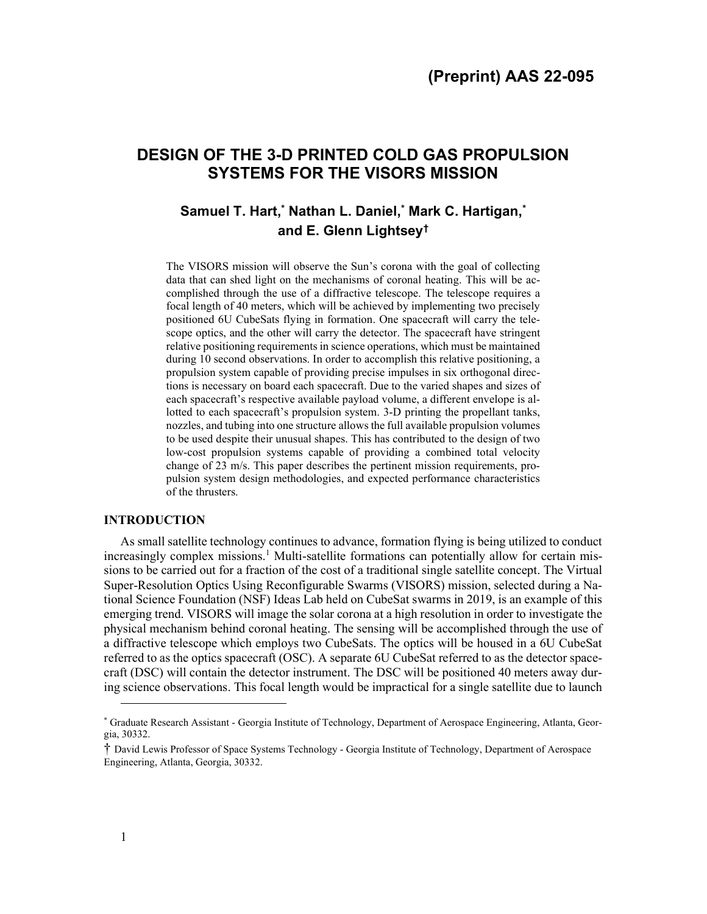# DESIGN OF THE 3-D PRINTED COLD GAS PROPULSION SYSTEMS FOR THE VISORS MISSION

## Samuel T. Hart,\* Nathan L. Daniel,\* Mark C. Hartigan,\* and E. Glenn Lightsey†

The VISORS mission will observe the Sun's corona with the goal of collecting data that can shed light on the mechanisms of coronal heating. This will be accomplished through the use of a diffractive telescope. The telescope requires a focal length of 40 meters, which will be achieved by implementing two precisely positioned 6U CubeSats flying in formation. One spacecraft will carry the telescope optics, and the other will carry the detector. The spacecraft have stringent relative positioning requirements in science operations, which must be maintained during 10 second observations. In order to accomplish this relative positioning, a propulsion system capable of providing precise impulses in six orthogonal directions is necessary on board each spacecraft. Due to the varied shapes and sizes of each spacecraft's respective available payload volume, a different envelope is allotted to each spacecraft's propulsion system. 3-D printing the propellant tanks, nozzles, and tubing into one structure allows the full available propulsion volumes to be used despite their unusual shapes. This has contributed to the design of two low-cost propulsion systems capable of providing a combined total velocity change of 23 m/s. This paper describes the pertinent mission requirements, propulsion system design methodologies, and expected performance characteristics of the thrusters.

## INTRODUCTION

As small satellite technology continues to advance, formation flying is being utilized to conduct increasingly complex missions.<sup>1</sup> Multi-satellite formations can potentially allow for certain missions to be carried out for a fraction of the cost of a traditional single satellite concept. The Virtual Super-Resolution Optics Using Reconfigurable Swarms (VISORS) mission, selected during a National Science Foundation (NSF) Ideas Lab held on CubeSat swarms in 2019, is an example of this emerging trend. VISORS will image the solar corona at a high resolution in order to investigate the physical mechanism behind coronal heating. The sensing will be accomplished through the use of a diffractive telescope which employs two CubeSats. The optics will be housed in a 6U CubeSat referred to as the optics spacecraft (OSC). A separate 6U CubeSat referred to as the detector spacecraft (DSC) will contain the detector instrument. The DSC will be positioned 40 meters away during science observations. This focal length would be impractical for a single satellite due to launch

<sup>\*</sup> Graduate Research Assistant - Georgia Institute of Technology, Department of Aerospace Engineering, Atlanta, Georgia, 30332.

<sup>†</sup> David Lewis Professor of Space Systems Technology - Georgia Institute of Technology, Department of Aerospace Engineering, Atlanta, Georgia, 30332.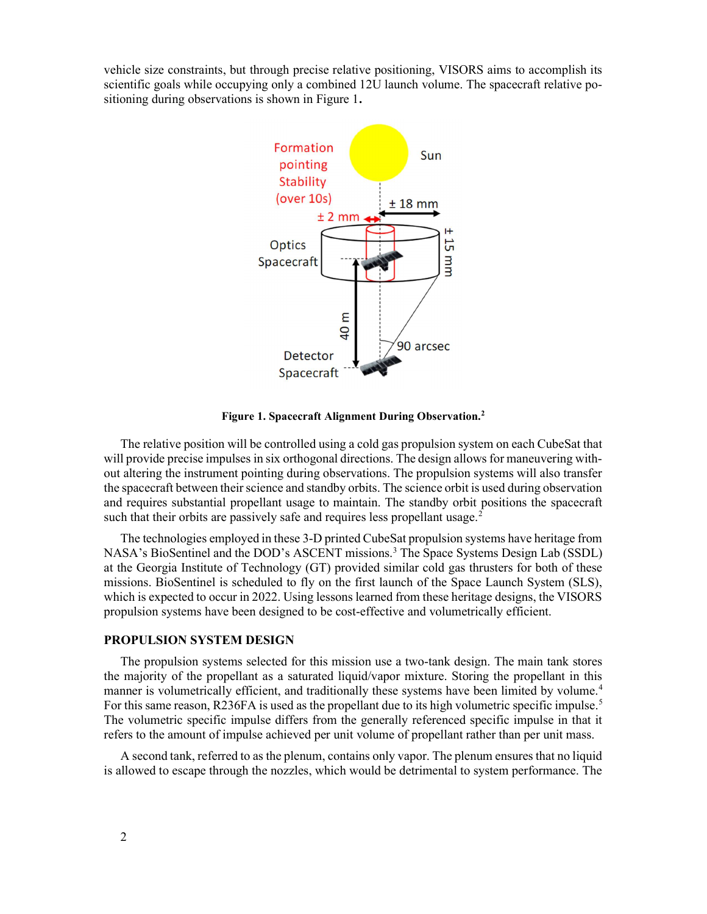vehicle size constraints, but through precise relative positioning, VISORS aims to accomplish its scientific goals while occupying only a combined 12U launch volume. The spacecraft relative positioning during observations is shown in Figure 1.



Figure 1. Spacecraft Alignment During Observation.<sup>2</sup>

The relative position will be controlled using a cold gas propulsion system on each CubeSat that will provide precise impulses in six orthogonal directions. The design allows for maneuvering without altering the instrument pointing during observations. The propulsion systems will also transfer the spacecraft between their science and standby orbits. The science orbit is used during observation and requires substantial propellant usage to maintain. The standby orbit positions the spacecraft such that their orbits are passively safe and requires less propellant usage.<sup>2</sup>

The technologies employed in these 3-D printed CubeSat propulsion systems have heritage from NASA's BioSentinel and the DOD's ASCENT missions.<sup>3</sup> The Space Systems Design Lab (SSDL) at the Georgia Institute of Technology (GT) provided similar cold gas thrusters for both of these missions. BioSentinel is scheduled to fly on the first launch of the Space Launch System (SLS), which is expected to occur in 2022. Using lessons learned from these heritage designs, the VISORS propulsion systems have been designed to be cost-effective and volumetrically efficient.

### PROPULSION SYSTEM DESIGN

The propulsion systems selected for this mission use a two-tank design. The main tank stores the majority of the propellant as a saturated liquid/vapor mixture. Storing the propellant in this manner is volumetrically efficient, and traditionally these systems have been limited by volume.<sup>4</sup> For this same reason, R236FA is used as the propellant due to its high volumetric specific impulse.<sup>5</sup> The volumetric specific impulse differs from the generally referenced specific impulse in that it refers to the amount of impulse achieved per unit volume of propellant rather than per unit mass.

A second tank, referred to as the plenum, contains only vapor. The plenum ensures that no liquid is allowed to escape through the nozzles, which would be detrimental to system performance. The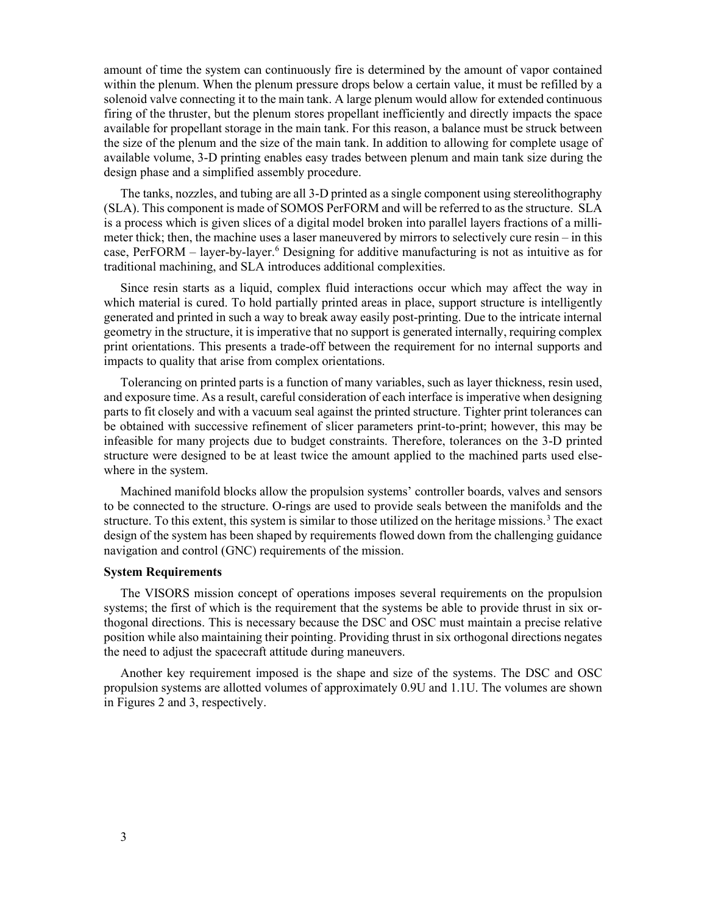amount of time the system can continuously fire is determined by the amount of vapor contained within the plenum. When the plenum pressure drops below a certain value, it must be refilled by a solenoid valve connecting it to the main tank. A large plenum would allow for extended continuous firing of the thruster, but the plenum stores propellant inefficiently and directly impacts the space available for propellant storage in the main tank. For this reason, a balance must be struck between the size of the plenum and the size of the main tank. In addition to allowing for complete usage of available volume, 3-D printing enables easy trades between plenum and main tank size during the design phase and a simplified assembly procedure.

The tanks, nozzles, and tubing are all 3-D printed as a single component using stereolithography (SLA). This component is made of SOMOS PerFORM and will be referred to as the structure. SLA is a process which is given slices of a digital model broken into parallel layers fractions of a millimeter thick; then, the machine uses a laser maneuvered by mirrors to selectively cure resin – in this case, PerFORM – layer-by-layer.<sup>6</sup> Designing for additive manufacturing is not as intuitive as for traditional machining, and SLA introduces additional complexities.

Since resin starts as a liquid, complex fluid interactions occur which may affect the way in which material is cured. To hold partially printed areas in place, support structure is intelligently generated and printed in such a way to break away easily post-printing. Due to the intricate internal geometry in the structure, it is imperative that no support is generated internally, requiring complex print orientations. This presents a trade-off between the requirement for no internal supports and impacts to quality that arise from complex orientations.

Tolerancing on printed parts is a function of many variables, such as layer thickness, resin used, and exposure time. As a result, careful consideration of each interface is imperative when designing parts to fit closely and with a vacuum seal against the printed structure. Tighter print tolerances can be obtained with successive refinement of slicer parameters print-to-print; however, this may be infeasible for many projects due to budget constraints. Therefore, tolerances on the 3-D printed structure were designed to be at least twice the amount applied to the machined parts used elsewhere in the system.

Machined manifold blocks allow the propulsion systems' controller boards, valves and sensors to be connected to the structure. O-rings are used to provide seals between the manifolds and the structure. To this extent, this system is similar to those utilized on the heritage missions.<sup>3</sup> The exact design of the system has been shaped by requirements flowed down from the challenging guidance navigation and control (GNC) requirements of the mission.

## System Requirements

The VISORS mission concept of operations imposes several requirements on the propulsion systems; the first of which is the requirement that the systems be able to provide thrust in six orthogonal directions. This is necessary because the DSC and OSC must maintain a precise relative position while also maintaining their pointing. Providing thrust in six orthogonal directions negates the need to adjust the spacecraft attitude during maneuvers.

Another key requirement imposed is the shape and size of the systems. The DSC and OSC propulsion systems are allotted volumes of approximately 0.9U and 1.1U. The volumes are shown in Figures 2 and 3, respectively.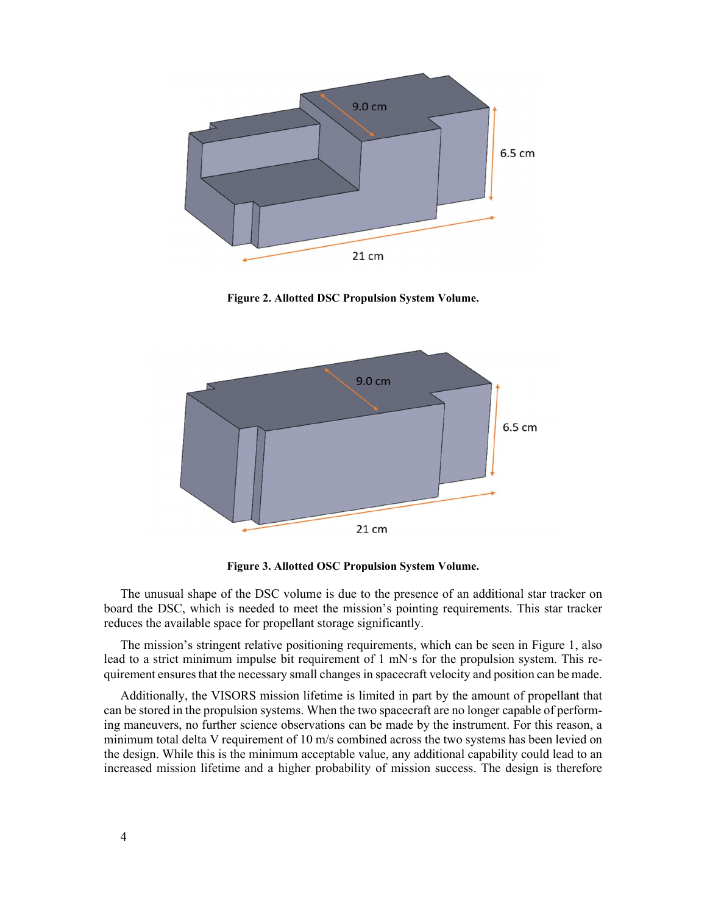

Figure 2. Allotted DSC Propulsion System Volume.



Figure 3. Allotted OSC Propulsion System Volume.

The unusual shape of the DSC volume is due to the presence of an additional star tracker on board the DSC, which is needed to meet the mission's pointing requirements. This star tracker reduces the available space for propellant storage significantly.

The mission's stringent relative positioning requirements, which can be seen in Figure 1, also lead to a strict minimum impulse bit requirement of 1 mN·s for the propulsion system. This requirement ensures that the necessary small changes in spacecraft velocity and position can be made.

Additionally, the VISORS mission lifetime is limited in part by the amount of propellant that can be stored in the propulsion systems. When the two spacecraft are no longer capable of performing maneuvers, no further science observations can be made by the instrument. For this reason, a minimum total delta V requirement of 10 m/s combined across the two systems has been levied on the design. While this is the minimum acceptable value, any additional capability could lead to an increased mission lifetime and a higher probability of mission success. The design is therefore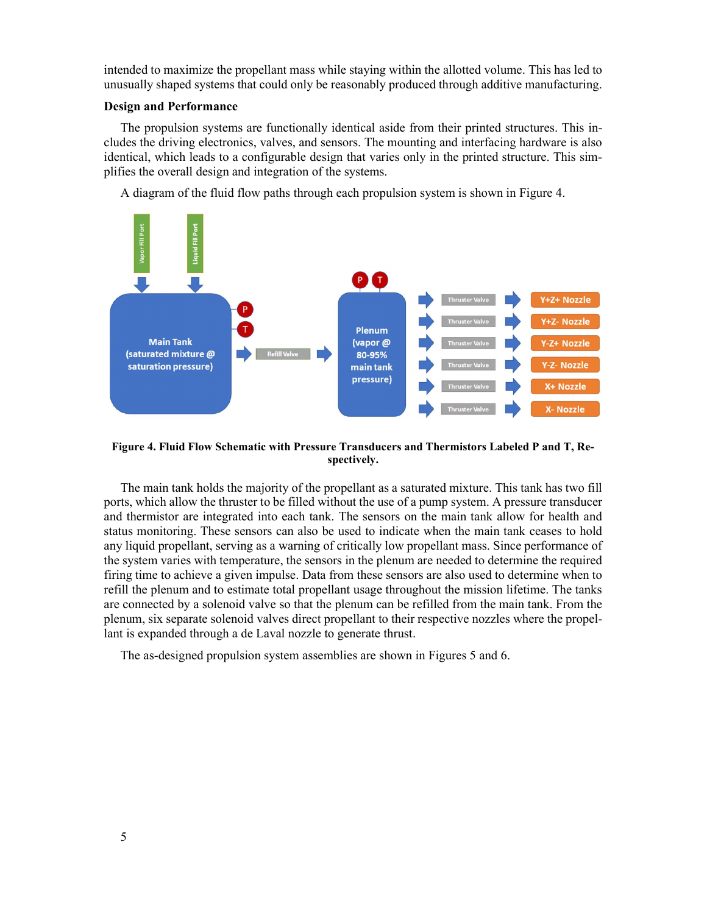intended to maximize the propellant mass while staying within the allotted volume. This has led to unusually shaped systems that could only be reasonably produced through additive manufacturing.

## Design and Performance

The propulsion systems are functionally identical aside from their printed structures. This includes the driving electronics, valves, and sensors. The mounting and interfacing hardware is also identical, which leads to a configurable design that varies only in the printed structure. This simplifies the overall design and integration of the systems.

A diagram of the fluid flow paths through each propulsion system is shown in Figure 4.



Figure 4. Fluid Flow Schematic with Pressure Transducers and Thermistors Labeled P and T, Respectively.

The main tank holds the majority of the propellant as a saturated mixture. This tank has two fill ports, which allow the thruster to be filled without the use of a pump system. A pressure transducer and thermistor are integrated into each tank. The sensors on the main tank allow for health and status monitoring. These sensors can also be used to indicate when the main tank ceases to hold any liquid propellant, serving as a warning of critically low propellant mass. Since performance of the system varies with temperature, the sensors in the plenum are needed to determine the required firing time to achieve a given impulse. Data from these sensors are also used to determine when to refill the plenum and to estimate total propellant usage throughout the mission lifetime. The tanks are connected by a solenoid valve so that the plenum can be refilled from the main tank. From the plenum, six separate solenoid valves direct propellant to their respective nozzles where the propellant is expanded through a de Laval nozzle to generate thrust.

The as-designed propulsion system assemblies are shown in Figures 5 and 6.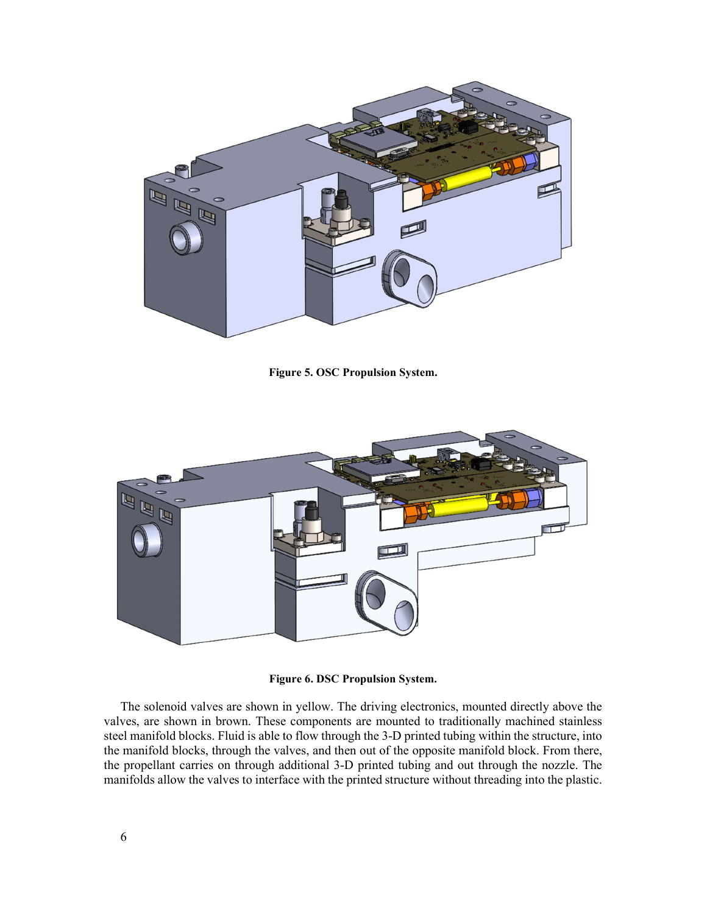

Figure 5. OSC Propulsion System.



Figure 6. DSC Propulsion System.

The solenoid valves are shown in yellow. The driving electronics, mounted directly above the valves, are shown in brown. These components are mounted to traditionally machined stainless steel manifold blocks. Fluid is able to flow through the 3-D printed tubing within the structure, into the manifold blocks, through the valves, and then out of the opposite manifold block. From there, the propellant carries on through additional 3-D printed tubing and out through the nozzle. The manifolds allow the valves to interface with the printed structure without threading into the plastic.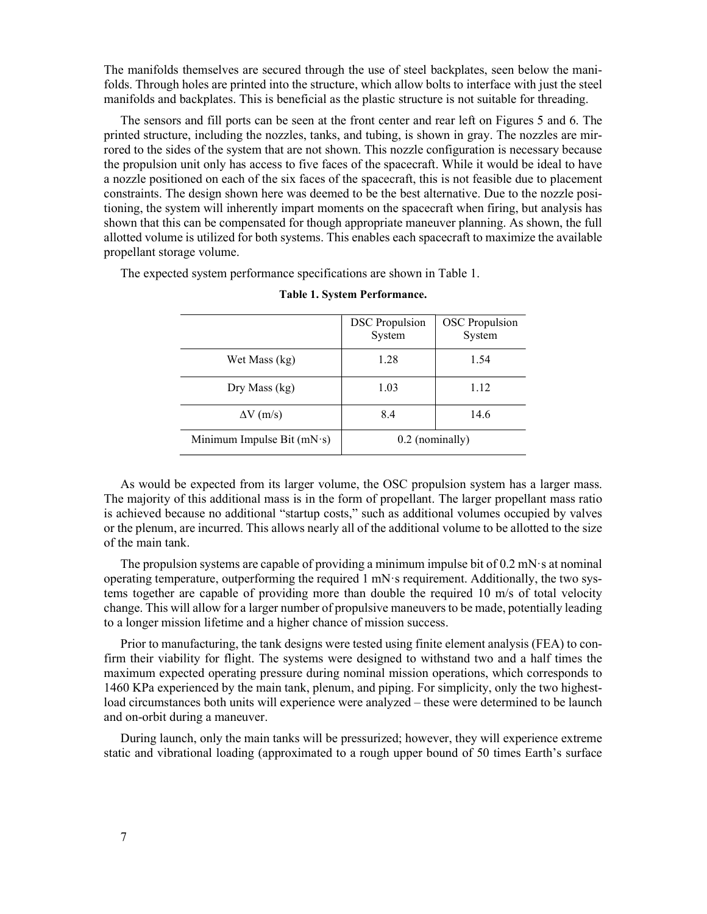The manifolds themselves are secured through the use of steel backplates, seen below the manifolds. Through holes are printed into the structure, which allow bolts to interface with just the steel manifolds and backplates. This is beneficial as the plastic structure is not suitable for threading.

The sensors and fill ports can be seen at the front center and rear left on Figures 5 and 6. The printed structure, including the nozzles, tanks, and tubing, is shown in gray. The nozzles are mirrored to the sides of the system that are not shown. This nozzle configuration is necessary because the propulsion unit only has access to five faces of the spacecraft. While it would be ideal to have a nozzle positioned on each of the six faces of the spacecraft, this is not feasible due to placement constraints. The design shown here was deemed to be the best alternative. Due to the nozzle positioning, the system will inherently impart moments on the spacecraft when firing, but analysis has shown that this can be compensated for though appropriate maneuver planning. As shown, the full allotted volume is utilized for both systems. This enables each spacecraft to maximize the available propellant storage volume.

The expected system performance specifications are shown in Table 1.

|                              | <b>DSC</b> Propulsion<br>System | <b>OSC</b> Propulsion<br>System |
|------------------------------|---------------------------------|---------------------------------|
| Wet Mass (kg)                | 1.28                            | 1.54                            |
| Dry Mass $(kg)$              | 1.03                            | 1.12                            |
| $\Delta V$ (m/s)             | 8.4                             | 14.6                            |
| Minimum Impulse Bit $(mN·s)$ | $0.2$ (nominally)               |                                 |

#### Table 1. System Performance.

As would be expected from its larger volume, the OSC propulsion system has a larger mass. The majority of this additional mass is in the form of propellant. The larger propellant mass ratio is achieved because no additional "startup costs," such as additional volumes occupied by valves or the plenum, are incurred. This allows nearly all of the additional volume to be allotted to the size of the main tank.

The propulsion systems are capable of providing a minimum impulse bit of  $0.2 \text{ mN}$  s at nominal operating temperature, outperforming the required  $1 \text{ mN·s}$  requirement. Additionally, the two systems together are capable of providing more than double the required 10 m/s of total velocity change. This will allow for a larger number of propulsive maneuvers to be made, potentially leading to a longer mission lifetime and a higher chance of mission success.

Prior to manufacturing, the tank designs were tested using finite element analysis (FEA) to confirm their viability for flight. The systems were designed to withstand two and a half times the maximum expected operating pressure during nominal mission operations, which corresponds to 1460 KPa experienced by the main tank, plenum, and piping. For simplicity, only the two highestload circumstances both units will experience were analyzed – these were determined to be launch and on-orbit during a maneuver.

During launch, only the main tanks will be pressurized; however, they will experience extreme static and vibrational loading (approximated to a rough upper bound of 50 times Earth's surface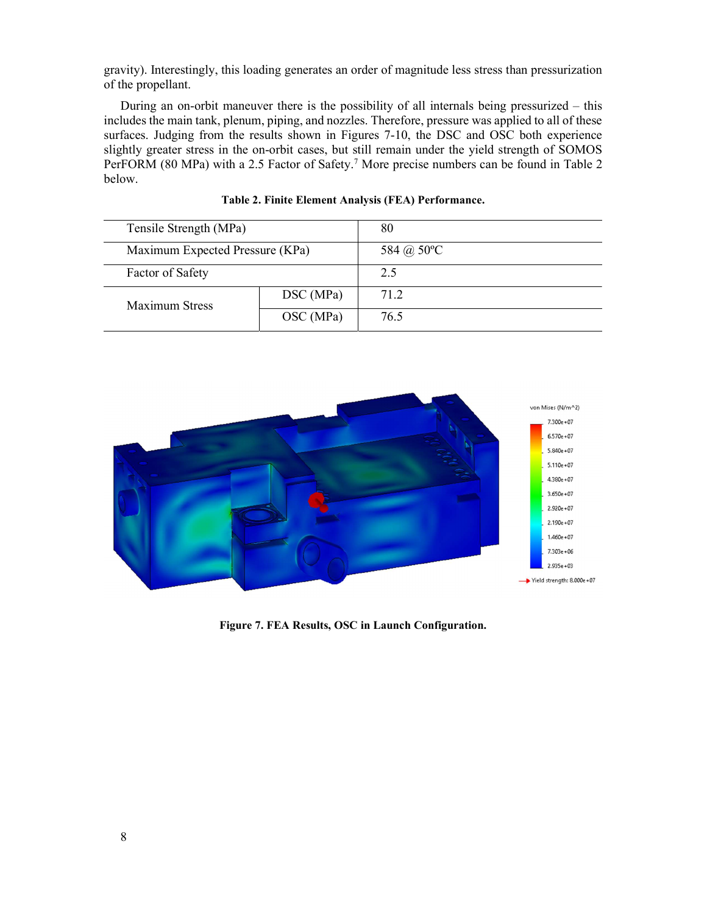gravity). Interestingly, this loading generates an order of magnitude less stress than pressurization of the propellant.

During an on-orbit maneuver there is the possibility of all internals being pressurized – this includes the main tank, plenum, piping, and nozzles. Therefore, pressure was applied to all of these surfaces. Judging from the results shown in Figures 7-10, the DSC and OSC both experience slightly greater stress in the on-orbit cases, but still remain under the yield strength of SOMOS PerFORM (80 MPa) with a 2.5 Factor of Safety.<sup>7</sup> More precise numbers can be found in Table 2 below.

| Tensile Strength (MPa)          |           | 80         |
|---------------------------------|-----------|------------|
| Maximum Expected Pressure (KPa) |           | 584 @ 50°C |
| Factor of Safety                |           | 2.5        |
| <b>Maximum Stress</b>           | DSC (MPa) | 71.2       |
|                                 | OSC (MPa) | 76.5       |

Table 2. Finite Element Analysis (FEA) Performance.



Figure 7. FEA Results, OSC in Launch Configuration.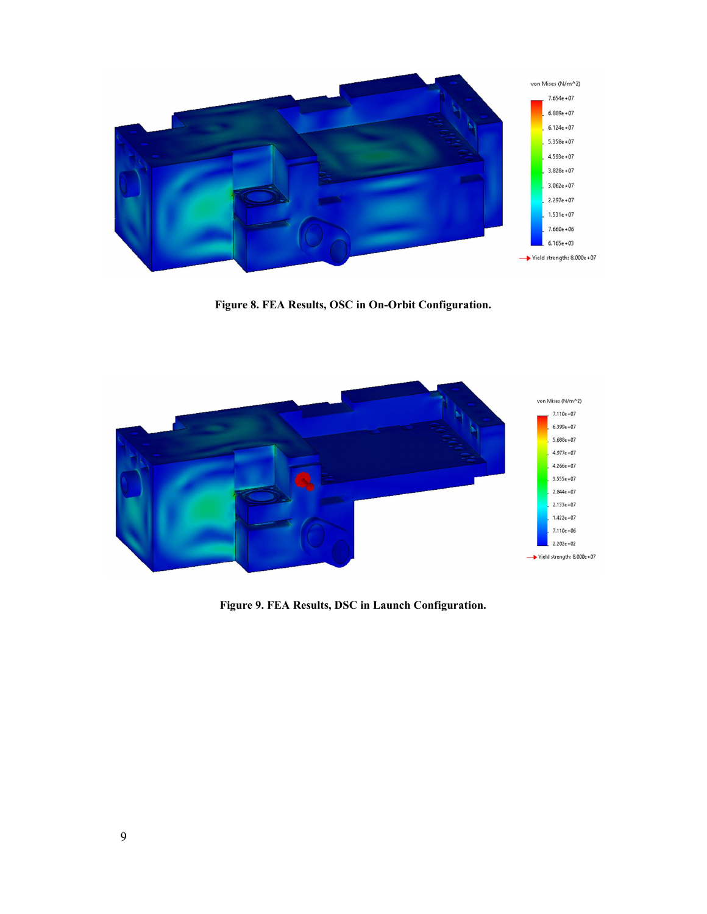

Figure 8. FEA Results, OSC in On-Orbit Configuration.



Figure 9. FEA Results, DSC in Launch Configuration.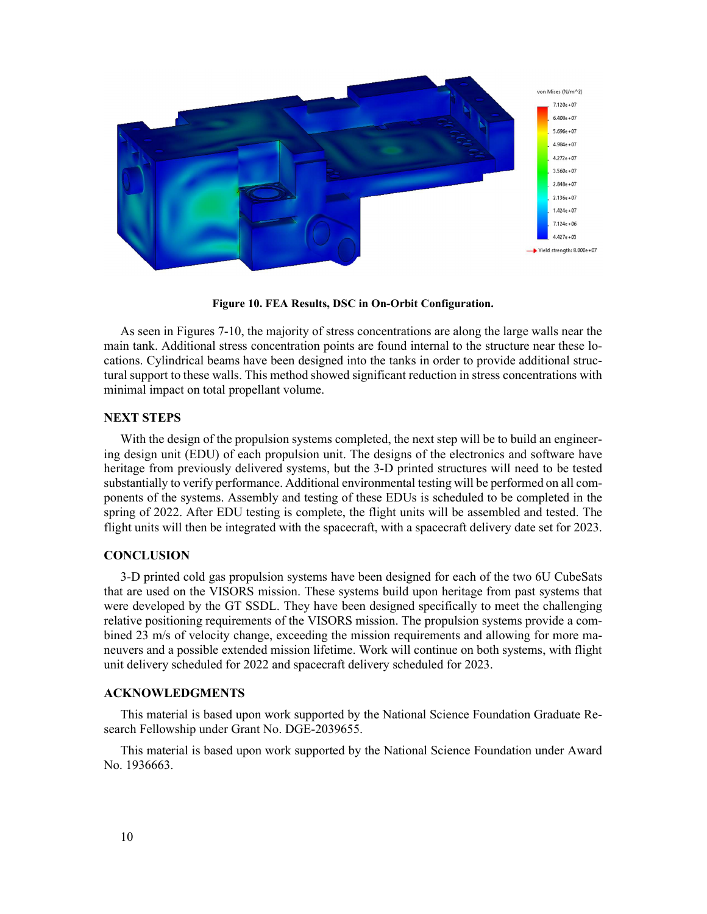

Figure 10. FEA Results, DSC in On-Orbit Configuration.

As seen in Figures 7-10, the majority of stress concentrations are along the large walls near the main tank. Additional stress concentration points are found internal to the structure near these locations. Cylindrical beams have been designed into the tanks in order to provide additional structural support to these walls. This method showed significant reduction in stress concentrations with minimal impact on total propellant volume.

## NEXT STEPS

With the design of the propulsion systems completed, the next step will be to build an engineering design unit (EDU) of each propulsion unit. The designs of the electronics and software have heritage from previously delivered systems, but the 3-D printed structures will need to be tested substantially to verify performance. Additional environmental testing will be performed on all components of the systems. Assembly and testing of these EDUs is scheduled to be completed in the spring of 2022. After EDU testing is complete, the flight units will be assembled and tested. The flight units will then be integrated with the spacecraft, with a spacecraft delivery date set for 2023.

## **CONCLUSION**

3-D printed cold gas propulsion systems have been designed for each of the two 6U CubeSats that are used on the VISORS mission. These systems build upon heritage from past systems that were developed by the GT SSDL. They have been designed specifically to meet the challenging relative positioning requirements of the VISORS mission. The propulsion systems provide a combined 23 m/s of velocity change, exceeding the mission requirements and allowing for more maneuvers and a possible extended mission lifetime. Work will continue on both systems, with flight unit delivery scheduled for 2022 and spacecraft delivery scheduled for 2023.

## ACKNOWLEDGMENTS

This material is based upon work supported by the National Science Foundation Graduate Research Fellowship under Grant No. DGE-2039655.

This material is based upon work supported by the National Science Foundation under Award No. 1936663.